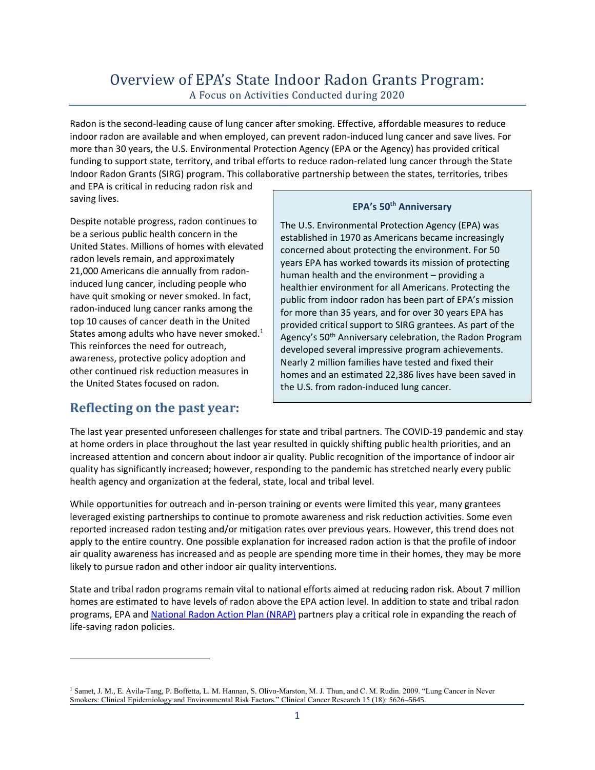# Overview of EPA's State Indoor Radon Grants Program:

A Focus on Activities Conducted during 2020

Radon is the second-leading cause of lung cancer after smoking. Effective, affordable measures to reduce indoor radon are available and when employed, can prevent radon-induced lung cancer and save lives. For more than 30 years, the U.S. Environmental Protection Agency (EPA or the Agency) has provided critical funding to support state, territory, and tribal efforts to reduce radon-related lung cancer through the State Indoor Radon Grants (SIRG) program. This collaborative partnership between the states, territories, tribes

and EPA is critical in reducing radon risk and saving lives.

Despite notable progress, radon continues to be a serious public health concern in the United States. Millions of homes with elevated radon levels remain, and approximately 21,000 Americans die annually from radoninduced lung cancer, including people who have quit smoking or never smoked. In fact, radon-induced lung cancer ranks among the top 10 causes of cancer death in the United States among adults who have never smoked.<sup>1</sup> This reinforces the need for outreach, awareness, protective policy adoption and other continued risk reduction measures in the United States focused on radon.

### **Reflecting on the past year:**

### **EPA's 50th Anniversary**

The U.S. Environmental Protection Agency (EPA) was established in 1970 as Americans became increasingly concerned about protecting the environment. For 50 years EPA has worked towards its mission of protecting human health and the environment – providing a healthier environment for all Americans. Protecting the public from indoor radon has been part of EPA's mission for more than 35 years, and for over 30 years EPA has provided critical support to SIRG grantees. As part of the Agency's 50<sup>th</sup> Anniversary celebration, the Radon Program developed several impressive program achievements. Nearly 2 million families have tested and fixed their homes and an estimated 22,386 lives have been saved in the U.S. from radon-induced lung cancer.

The last year presented unforeseen challenges for state and tribal partners. The COVID-19 pandemic and stay at home orders in place throughout the last year resulted in quickly shifting public health priorities, and an increased attention and concern about indoor air quality. Public recognition of the importance of indoor air quality has significantly increased; however, responding to the pandemic has stretched nearly every public health agency and organization at the federal, state, local and tribal level.

While opportunities for outreach and in-person training or events were limited this year, many grantees leveraged existing partnerships to continue to promote awareness and risk reduction activities. Some even reported increased radon testing and/or mitigation rates over previous years. However, this trend does not apply to the entire country. One possible explanation for increased radon action is that the profile of indoor air quality awareness has increased and as people are spending more time in their homes, they may be more likely to pursue radon and other indoor air quality interventions.

State and tribal radon programs remain vital to national efforts aimed at reducing radon risk. About 7 million homes are estimated to have levels of radon above the EPA action level. In addition to state and tribal radon programs, EPA and [National Radon Action Plan \(NRAP\)](http://www.radonleaders.org/sites/default/files/NRAP%20Guide_2015_FINAL.PDF) partners play a critical role in expanding the reach of life-saving radon policies.

<sup>1</sup> Samet, J. M., E. Avila-Tang, P. Boffetta, L. M. Hannan, S. Olivo-Marston, M. J. Thun, and C. M. Rudin. 2009. "Lung Cancer in Never Smokers: Clinical Epidemiology and Environmental Risk Factors." Clinical Cancer Research 15 (18): 5626–5645.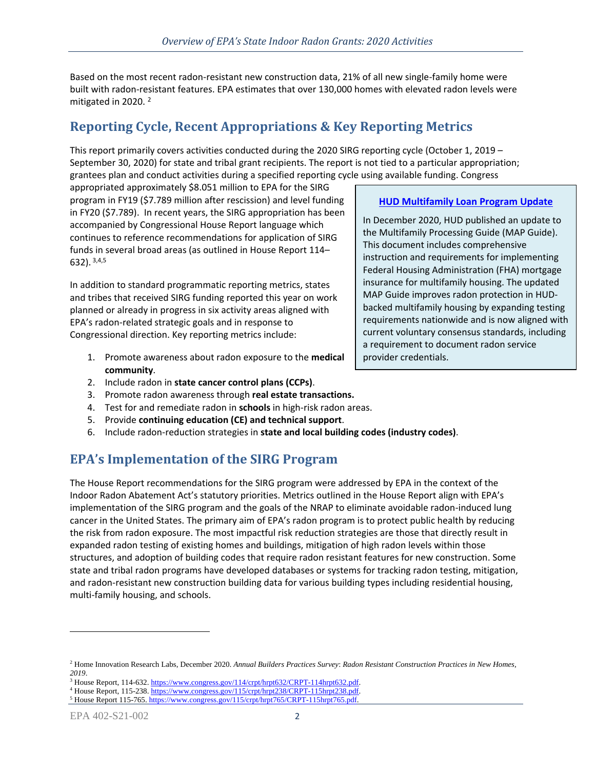Based on the most recent radon-resistant new construction data, 21% of all new single-family home were built with radon-resistant features. EPA estimates that over 130,000 homes with elevated radon levels were mitigated in 2020. <sup>2</sup>

### **Reporting Cycle, Recent Appropriations & Key Reporting Metrics**

This report primarily covers activities conducted during the 2020 SIRG reporting cycle (October 1, 2019 – September 30, 2020) for state and tribal grant recipients. The report is not tied to a particular appropriation; grantees plan and conduct activities during a specified reporting cycle using available funding. Congress

appropriated approximately \$8.051 million to EPA for the SIRG program in FY19 (\$7.789 million after rescission) and level funding in FY20 (\$7.789). In recent years, the SIRG appropriation has been accompanied by Congressional House Report language which continues to reference recommendations for application of SIRG funds in several broad areas (as outlined in House Report 114– 632). 3,4,5

In addition to standard programmatic reporting metrics, states and tribes that received SIRG funding reported this year on work planned or already in progress in six activity areas aligned with EPA's radon-related strategic goals and in response to Congressional direction. Key reporting metrics include:

- 1. Promote awareness about radon exposure to the **medical community**.
- 2. Include radon in **state cancer control plans (CCPs)**.
- 3. Promote radon awareness through **real estate transactions.**
- 4. Test for and remediate radon in **schools** in high-risk radon areas.
- 5. Provide **continuing education (CE) and technical support**.
- 6. Include radon-reduction strategies in **state and local building codes (industry codes)**.

### **EPA's Implementation of the SIRG Program**

The House Report recommendations for the SIRG program were addressed by EPA in the context of the Indoor Radon Abatement Act's statutory priorities. Metrics outlined in the House Report align with EPA's implementation of the SIRG program and the goals of the NRAP to eliminate avoidable radon-induced lung cancer in the United States. The primary aim of EPA's radon program is to protect public health by reducing the risk from radon exposure. The most impactful risk reduction strategies are those that directly result in expanded radon testing of existing homes and buildings, mitigation of high radon levels within those structures, and adoption of building codes that require radon resistant features for new construction. Some state and tribal radon programs have developed databases or systems for tracking radon testing, mitigation, and radon-resistant new construction building data for various building types including residential housing, multi-family housing, and schools.

#### **[HUD Multifamily Loan Program Update](https://www.hud.gov/program_offices/administration/hudclips/guidebooks/hsg-GB4430)**

In December 2020, HUD published an update to the Multifamily Processing Guide (MAP Guide). This document includes comprehensive instruction and requirements for implementing Federal Housing Administration (FHA) mortgage insurance for multifamily housing. The updated MAP Guide improves radon protection in HUDbacked multifamily housing by expanding testing requirements nationwide and is now aligned with current voluntary consensus standards, including a requirement to document radon service provider credentials.

<sup>2</sup> Home Innovation Research Labs, December 2020. *Annual Builders Practices Survey*: *Radon Resistant Construction Practices in New Homes, 2019*.

<sup>&</sup>lt;sup>3</sup> House Report, 114-632[. https://www.congress.gov/114/crpt/hrpt632/CRPT-114hrpt632.pdf.](https://www.congress.gov/114/crpt/hrpt632/CRPT-114hrpt632.pdf)

<sup>&</sup>lt;sup>4</sup> House Report, 115-238[. https://www.congress.gov/115/crpt/hrpt238/CRPT-115hrpt238.pdf.](https://www.congress.gov/115/crpt/hrpt238/CRPT-115hrpt238.pdf)

<sup>5</sup> House Report 115-765[. https://www.congress.gov/115/crpt/hrpt765/CRPT-115hrpt765.pdf.](https://www.congress.gov/115/crpt/hrpt765/CRPT-115hrpt765.pdf)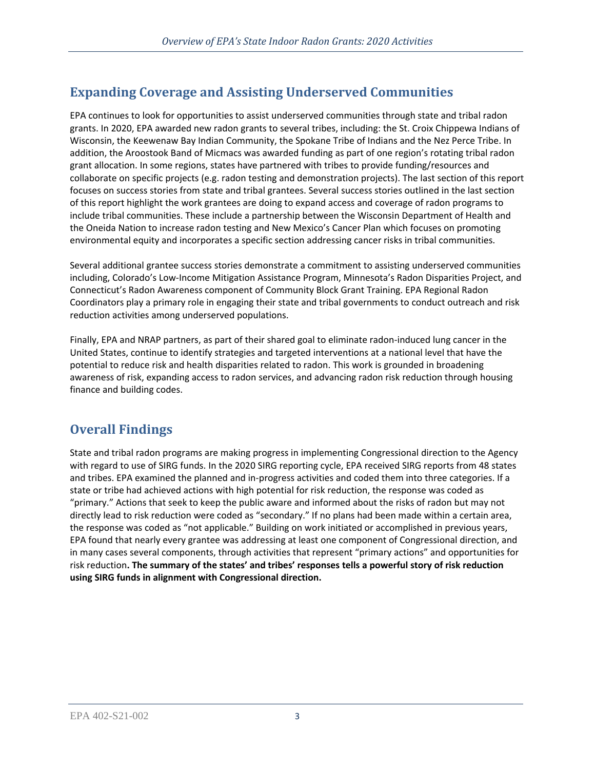# **Expanding Coverage and Assisting Underserved Communities**

EPA continues to look for opportunities to assist underserved communities through state and tribal radon grants. In 2020, EPA awarded new radon grants to several tribes, including: the St. Croix Chippewa Indians of Wisconsin, the Keewenaw Bay Indian Community, the Spokane Tribe of Indians and the Nez Perce Tribe. In addition, the Aroostook Band of Micmacs was awarded funding as part of one region's rotating tribal radon grant allocation. In some regions, states have partnered with tribes to provide funding/resources and collaborate on specific projects (e.g. radon testing and demonstration projects). The last section of this report focuses on success stories from state and tribal grantees. Several success stories outlined in the last section of this report highlight the work grantees are doing to expand access and coverage of radon programs to include tribal communities. These include a partnership between the Wisconsin Department of Health and the Oneida Nation to increase radon testing and New Mexico's Cancer Plan which focuses on promoting environmental equity and incorporates a specific section addressing cancer risks in tribal communities.

Several additional grantee success stories demonstrate a commitment to assisting underserved communities including, Colorado's Low-Income Mitigation Assistance Program, Minnesota's Radon Disparities Project, and Connecticut's Radon Awareness component of Community Block Grant Training. EPA Regional Radon Coordinators play a primary role in engaging their state and tribal governments to conduct outreach and risk reduction activities among underserved populations.

Finally, EPA and NRAP partners, as part of their shared goal to eliminate radon-induced lung cancer in the United States, continue to identify strategies and targeted interventions at a national level that have the potential to reduce risk and health disparities related to radon. This work is grounded in broadening awareness of risk, expanding access to radon services, and advancing radon risk reduction through housing finance and building codes.

# **Overall Findings**

State and tribal radon programs are making progress in implementing Congressional direction to the Agency with regard to use of SIRG funds. In the 2020 SIRG reporting cycle, EPA received SIRG reports from 48 states and tribes. EPA examined the planned and in-progress activities and coded them into three categories. If a state or tribe had achieved actions with high potential for risk reduction, the response was coded as "primary." Actions that seek to keep the public aware and informed about the risks of radon but may not directly lead to risk reduction were coded as "secondary." If no plans had been made within a certain area, the response was coded as "not applicable." Building on work initiated or accomplished in previous years, EPA found that nearly every grantee was addressing at least one component of Congressional direction, and in many cases several components, through activities that represent "primary actions" and opportunities for risk reduction**. The summary of the states' and tribes' responses tells a powerful story of risk reduction using SIRG funds in alignment with Congressional direction.**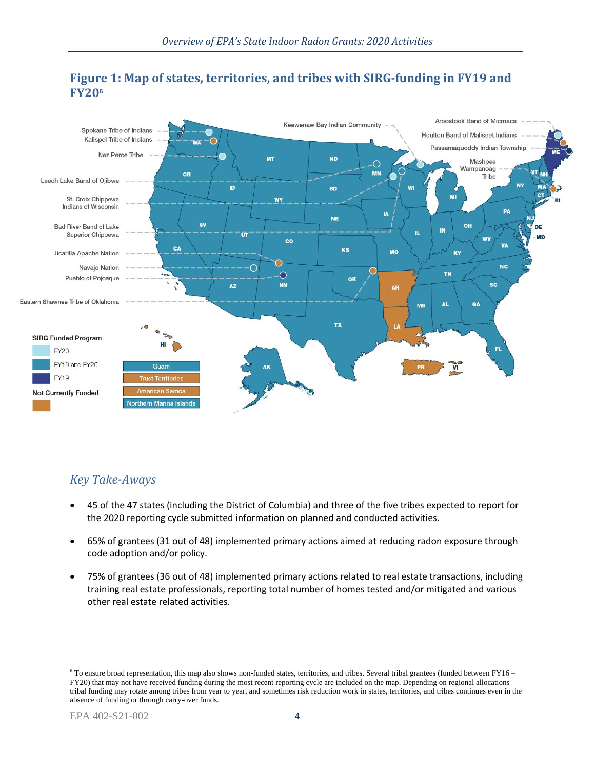

### **Figure 1: Map of states, territories, and tribes with SIRG-funding in FY19 and FY20<sup>6</sup>**

### *Key Take-Aways*

- 45 of the 47 states (including the District of Columbia) and three of the five tribes expected to report for the 2020 reporting cycle submitted information on planned and conducted activities.
- 65% of grantees (31 out of 48) implemented primary actions aimed at reducing radon exposure through code adoption and/or policy.
- 75% of grantees (36 out of 48) implemented primary actions related to real estate transactions, including training real estate professionals, reporting total number of homes tested and/or mitigated and various other real estate related activities.

<sup>6</sup> To ensure broad representation, this map also shows non-funded states, territories, and tribes. Several tribal grantees (funded between FY16 – FY20) that may not have received funding during the most recent reporting cycle are included on the map. Depending on regional allocations tribal funding may rotate among tribes from year to year, and sometimes risk reduction work in states, territories, and tribes continues even in the absence of funding or through carry-over funds.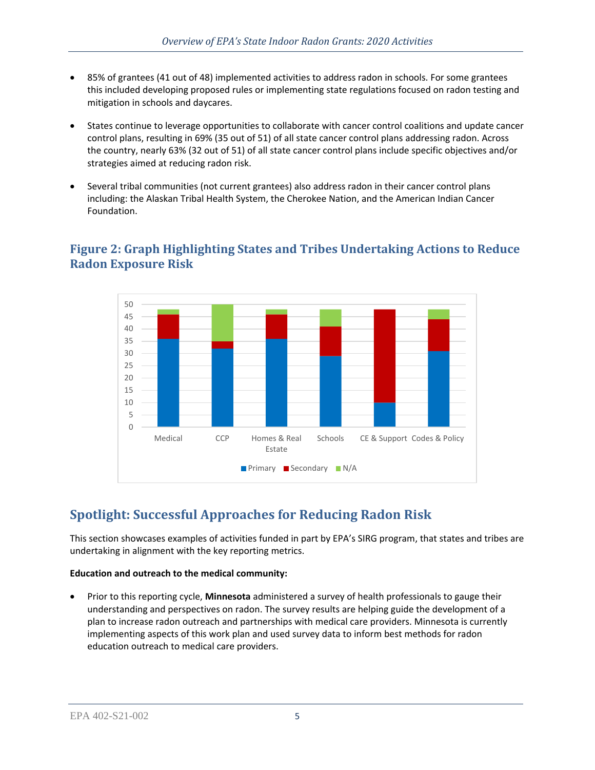- 85% of grantees (41 out of 48) implemented activities to address radon in schools. For some grantees this included developing proposed rules or implementing state regulations focused on radon testing and mitigation in schools and daycares.
- States continue to leverage opportunities to collaborate with cancer control coalitions and update cancer control plans, resulting in 69% (35 out of 51) of all state cancer control plans addressing radon. Across the country, nearly 63% (32 out of 51) of all state cancer control plans include specific objectives and/or strategies aimed at reducing radon risk.
- Several tribal communities (not current grantees) also address radon in their cancer control plans including: the Alaskan Tribal Health System, the Cherokee Nation, and the American Indian Cancer Foundation.



### **Figure 2: Graph Highlighting States and Tribes Undertaking Actions to Reduce Radon Exposure Risk**

# **Spotlight: Successful Approaches for Reducing Radon Risk**

This section showcases examples of activities funded in part by EPA's SIRG program, that states and tribes are undertaking in alignment with the key reporting metrics.

#### **Education and outreach to the medical community:**

• Prior to this reporting cycle, **Minnesota** administered a survey of health professionals to gauge their understanding and perspectives on radon. The survey results are helping guide the development of a plan to increase radon outreach and partnerships with medical care providers. Minnesota is currently implementing aspects of this work plan and used survey data to inform best methods for radon education outreach to medical care providers.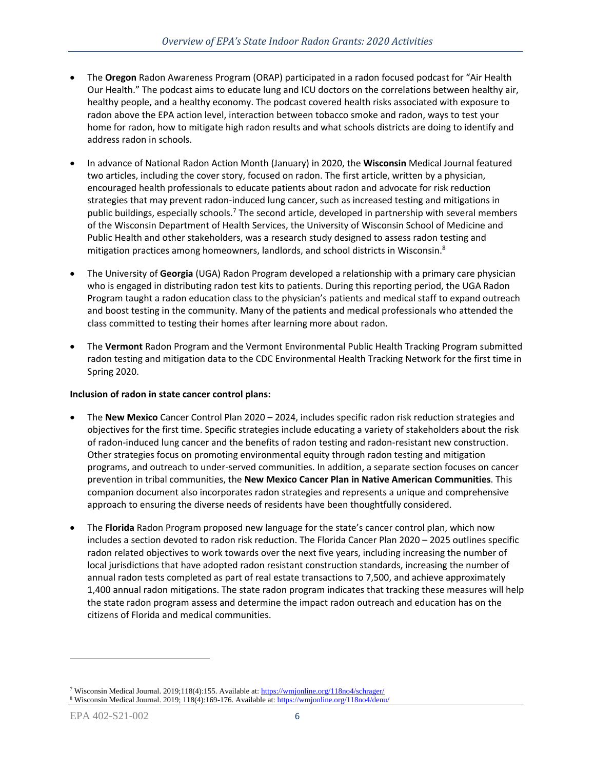- The **Oregon** Radon Awareness Program (ORAP) participated in a radon focused podcast for "Air Health Our Health." The podcast aims to educate lung and ICU doctors on the correlations between healthy air, healthy people, and a healthy economy. The podcast covered health risks associated with exposure to radon above the EPA action level, interaction between tobacco smoke and radon, ways to test your home for radon, how to mitigate high radon results and what schools districts are doing to identify and address radon in schools.
- In advance of National Radon Action Month (January) in 2020, the **Wisconsin** Medical Journal featured two articles, including the cover story, focused on radon. The first article, written by a physician, encouraged health professionals to educate patients about radon and advocate for risk reduction strategies that may prevent radon-induced lung cancer, such as increased testing and mitigations in public buildings, especially schools.<sup>7</sup> The second article, developed in partnership with several members of the Wisconsin Department of Health Services, the University of Wisconsin School of Medicine and Public Health and other stakeholders, was a research study designed to assess radon testing and mitigation practices among homeowners, landlords, and school districts in Wisconsin.<sup>8</sup>
- The University of **Georgia** (UGA) Radon Program developed a relationship with a primary care physician who is engaged in distributing radon test kits to patients. During this reporting period, the UGA Radon Program taught a radon education class to the physician's patients and medical staff to expand outreach and boost testing in the community. Many of the patients and medical professionals who attended the class committed to testing their homes after learning more about radon.
- The **Vermont** Radon Program and the Vermont Environmental Public Health Tracking Program submitted radon testing and mitigation data to the CDC Environmental Health Tracking Network for the first time in Spring 2020.

### **Inclusion of radon in state cancer control plans:**

- The **New Mexico** Cancer Control Plan 2020 2024, includes specific radon risk reduction strategies and objectives for the first time. Specific strategies include educating a variety of stakeholders about the risk of radon-induced lung cancer and the benefits of radon testing and radon-resistant new construction. Other strategies focus on promoting environmental equity through radon testing and mitigation programs, and outreach to under-served communities. In addition, a separate section focuses on cancer prevention in tribal communities, the **New Mexico Cancer Plan in Native American Communities**. This companion document also incorporates radon strategies and represents a unique and comprehensive approach to ensuring the diverse needs of residents have been thoughtfully considered.
- The **Florida** Radon Program proposed new language for the state's cancer control plan, which now includes a section devoted to radon risk reduction. The Florida Cancer Plan 2020 – 2025 outlines specific radon related objectives to work towards over the next five years, including increasing the number of local jurisdictions that have adopted radon resistant construction standards, increasing the number of annual radon tests completed as part of real estate transactions to 7,500, and achieve approximately 1,400 annual radon mitigations. The state radon program indicates that tracking these measures will help the state radon program assess and determine the impact radon outreach and education has on the citizens of Florida and medical communities.

<sup>7</sup> Wisconsin Medical Journal. 2019;118(4):155. Available at:<https://wmjonline.org/118no4/schrager/> <sup>8</sup> Wisconsin Medical Journal. 2019; 118(4):169-176. Available at[: https://wmjonline.org/118no4/denu/](https://wmjonline.org/118no4/denu/)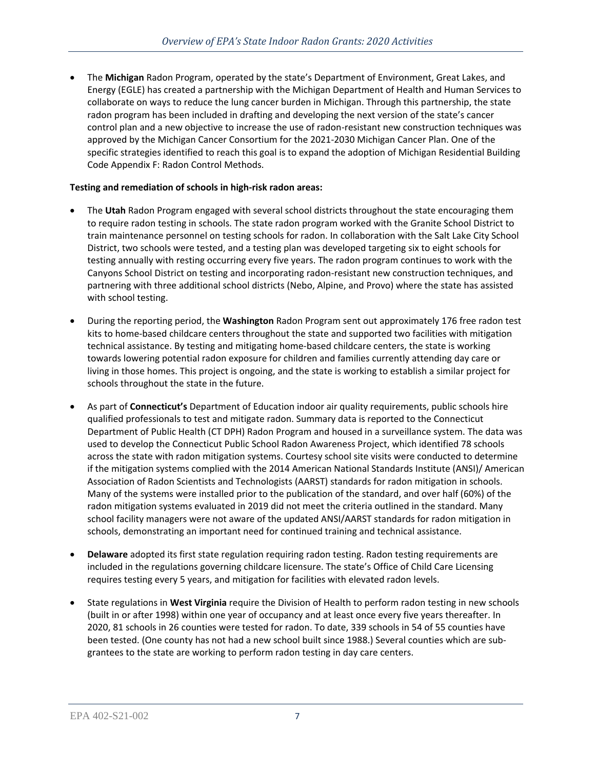• The **Michigan** Radon Program, operated by the state's Department of Environment, Great Lakes, and Energy (EGLE) has created a partnership with the Michigan Department of Health and Human Services to collaborate on ways to reduce the lung cancer burden in Michigan. Through this partnership, the state radon program has been included in drafting and developing the next version of the state's cancer control plan and a new objective to increase the use of radon-resistant new construction techniques was approved by the Michigan Cancer Consortium for the 2021-2030 Michigan Cancer Plan. One of the specific strategies identified to reach this goal is to expand the adoption of Michigan Residential Building Code Appendix F: Radon Control Methods.

### **Testing and remediation of schools in high-risk radon areas:**

- The **Utah** Radon Program engaged with several school districts throughout the state encouraging them to require radon testing in schools. The state radon program worked with the Granite School District to train maintenance personnel on testing schools for radon. In collaboration with the Salt Lake City School District, two schools were tested, and a testing plan was developed targeting six to eight schools for testing annually with resting occurring every five years. The radon program continues to work with the Canyons School District on testing and incorporating radon-resistant new construction techniques, and partnering with three additional school districts (Nebo, Alpine, and Provo) where the state has assisted with school testing.
- During the reporting period, the **Washington** Radon Program sent out approximately 176 free radon test kits to home-based childcare centers throughout the state and supported two facilities with mitigation technical assistance. By testing and mitigating home-based childcare centers, the state is working towards lowering potential radon exposure for children and families currently attending day care or living in those homes. This project is ongoing, and the state is working to establish a similar project for schools throughout the state in the future.
- As part of **Connecticut's** Department of Education indoor air quality requirements, public schools hire qualified professionals to test and mitigate radon. Summary data is reported to the Connecticut Department of Public Health (CT DPH) Radon Program and housed in a surveillance system. The data was used to develop the Connecticut Public School Radon Awareness Project, which identified 78 schools across the state with radon mitigation systems. Courtesy school site visits were conducted to determine if the mitigation systems complied with the 2014 American National Standards Institute (ANSI)/ American Association of Radon Scientists and Technologists (AARST) standards for radon mitigation in schools. Many of the systems were installed prior to the publication of the standard, and over half (60%) of the radon mitigation systems evaluated in 2019 did not meet the criteria outlined in the standard. Many school facility managers were not aware of the updated ANSI/AARST standards for radon mitigation in schools, demonstrating an important need for continued training and technical assistance.
- **Delaware** adopted its first state regulation requiring radon testing. Radon testing requirements are included in the regulations governing childcare licensure. The state's Office of Child Care Licensing requires testing every 5 years, and mitigation for facilities with elevated radon levels.
- State regulations in **West Virginia** require the Division of Health to perform radon testing in new schools (built in or after 1998) within one year of occupancy and at least once every five years thereafter. In 2020, 81 schools in 26 counties were tested for radon. To date, 339 schools in 54 of 55 counties have been tested. (One county has not had a new school built since 1988.) Several counties which are subgrantees to the state are working to perform radon testing in day care centers.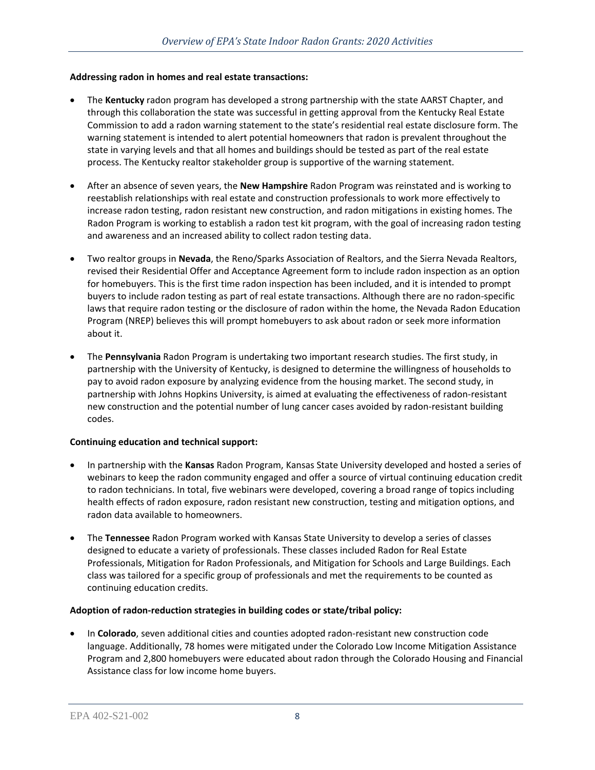#### **Addressing radon in homes and real estate transactions:**

- The **Kentucky** radon program has developed a strong partnership with the state AARST Chapter, and through this collaboration the state was successful in getting approval from the Kentucky Real Estate Commission to add a radon warning statement to the state's residential real estate disclosure form. The warning statement is intended to alert potential homeowners that radon is prevalent throughout the state in varying levels and that all homes and buildings should be tested as part of the real estate process. The Kentucky realtor stakeholder group is supportive of the warning statement.
- After an absence of seven years, the **New Hampshire** Radon Program was reinstated and is working to reestablish relationships with real estate and construction professionals to work more effectively to increase radon testing, radon resistant new construction, and radon mitigations in existing homes. The Radon Program is working to establish a radon test kit program, with the goal of increasing radon testing and awareness and an increased ability to collect radon testing data.
- Two realtor groups in **Nevada**, the Reno/Sparks Association of Realtors, and the Sierra Nevada Realtors, revised their Residential Offer and Acceptance Agreement form to include radon inspection as an option for homebuyers. This is the first time radon inspection has been included, and it is intended to prompt buyers to include radon testing as part of real estate transactions. Although there are no radon-specific laws that require radon testing or the disclosure of radon within the home, the Nevada Radon Education Program (NREP) believes this will prompt homebuyers to ask about radon or seek more information about it.
- The **Pennsylvania** Radon Program is undertaking two important research studies. The first study, in partnership with the University of Kentucky, is designed to determine the willingness of households to pay to avoid radon exposure by analyzing evidence from the housing market. The second study, in partnership with Johns Hopkins University, is aimed at evaluating the effectiveness of radon-resistant new construction and the potential number of lung cancer cases avoided by radon-resistant building codes.

#### **Continuing education and technical support:**

- In partnership with the **Kansas** Radon Program, Kansas State University developed and hosted a series of webinars to keep the radon community engaged and offer a source of virtual continuing education credit to radon technicians. In total, five webinars were developed, covering a broad range of topics including health effects of radon exposure, radon resistant new construction, testing and mitigation options, and radon data available to homeowners.
- The **Tennessee** Radon Program worked with Kansas State University to develop a series of classes designed to educate a variety of professionals. These classes included Radon for Real Estate Professionals, Mitigation for Radon Professionals, and Mitigation for Schools and Large Buildings. Each class was tailored for a specific group of professionals and met the requirements to be counted as continuing education credits.

#### **Adoption of radon-reduction strategies in building codes or state/tribal policy:**

• In **Colorado**, seven additional cities and counties adopted radon-resistant new construction code language. Additionally, 78 homes were mitigated under the Colorado Low Income Mitigation Assistance Program and 2,800 homebuyers were educated about radon through the Colorado Housing and Financial Assistance class for low income home buyers.